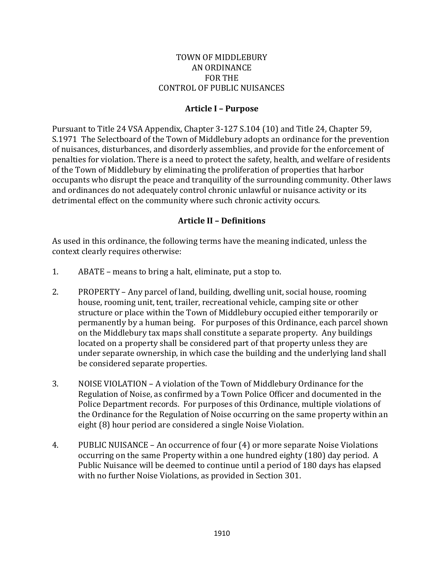#### TOWN OF MIDDLEBURY AN ORDINANCE FOR THE CONTROL OF PUBLIC NUISANCES

#### **Article I – Purpose**

Pursuant to Title 24 VSA Appendix, Chapter 3-127 S.104 (10) and Title 24, Chapter 59, S.1971 The Selectboard of the Town of Middlebury adopts an ordinance for the prevention of nuisances, disturbances, and disorderly assemblies, and provide for the enforcement of penalties for violation. There is a need to protect the safety, health, and welfare of residents of the Town of Middlebury by eliminating the proliferation of properties that harbor occupants who disrupt the peace and tranquility of the surrounding community. Other laws and ordinances do not adequately control chronic unlawful or nuisance activity or its detrimental effect on the community where such chronic activity occurs.

### **Article II – Definitions**

As used in this ordinance, the following terms have the meaning indicated, unless the context clearly requires otherwise:

- 1. ABATE means to bring a halt, eliminate, put a stop to.
- 2. PROPERTY Any parcel of land, building, dwelling unit, social house, rooming house, rooming unit, tent, trailer, recreational vehicle, camping site or other structure or place within the Town of Middlebury occupied either temporarily or permanently by a human being. For purposes of this Ordinance, each parcel shown on the Middlebury tax maps shall constitute a separate property. Any buildings located on a property shall be considered part of that property unless they are under separate ownership, in which case the building and the underlying land shall be considered separate properties.
- 3. NOISE VIOLATION A violation of the Town of Middlebury Ordinance for the Regulation of Noise, as confirmed by a Town Police Officer and documented in the Police Department records. For purposes of this Ordinance, multiple violations of the Ordinance for the Regulation of Noise occurring on the same property within an eight (8) hour period are considered a single Noise Violation.
- 4. PUBLIC NUISANCE An occurrence of four (4) or more separate Noise Violations occurring on the same Property within a one hundred eighty (180) day period. A Public Nuisance will be deemed to continue until a period of 180 days has elapsed with no further Noise Violations, as provided in Section 301.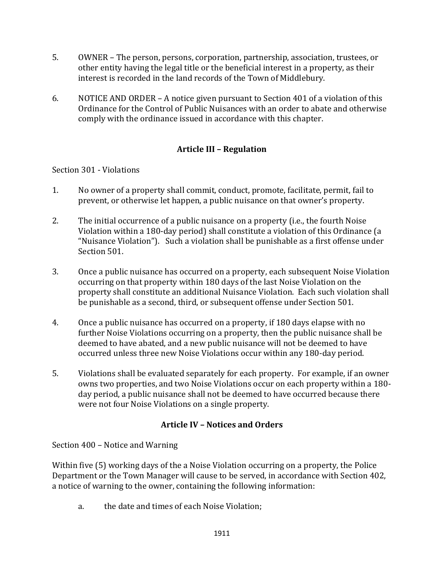- 5. OWNER The person, persons, corporation, partnership, association, trustees, or other entity having the legal title or the beneficial interest in a property, as their interest is recorded in the land records of the Town of Middlebury.
- 6. NOTICE AND ORDER A notice given pursuant to Section 401 of a violation of this Ordinance for the Control of Public Nuisances with an order to abate and otherwise comply with the ordinance issued in accordance with this chapter.

# **Article III – Regulation**

### Section 301 - Violations

- 1. No owner of a property shall commit, conduct, promote, facilitate, permit, fail to prevent, or otherwise let happen, a public nuisance on that owner's property.
- 2. The initial occurrence of a public nuisance on a property (i.e., the fourth Noise Violation within a 180-day period) shall constitute a violation of this Ordinance (a "Nuisance Violation"). Such a violation shall be punishable as a first offense under Section 501.
- 3. Once a public nuisance has occurred on a property, each subsequent Noise Violation occurring on that property within 180 days of the last Noise Violation on the property shall constitute an additional Nuisance Violation. Each such violation shall be punishable as a second, third, or subsequent offense under Section 501.
- 4. Once a public nuisance has occurred on a property, if 180 days elapse with no further Noise Violations occurring on a property, then the public nuisance shall be deemed to have abated, and a new public nuisance will not be deemed to have occurred unless three new Noise Violations occur within any 180-day period.
- 5. Violations shall be evaluated separately for each property. For example, if an owner owns two properties, and two Noise Violations occur on each property within a 180 day period, a public nuisance shall not be deemed to have occurred because there were not four Noise Violations on a single property.

## **Article IV – Notices and Orders**

Section 400 – Notice and Warning

Within five (5) working days of the a Noise Violation occurring on a property, the Police Department or the Town Manager will cause to be served, in accordance with Section 402, a notice of warning to the owner, containing the following information:

a. the date and times of each Noise Violation;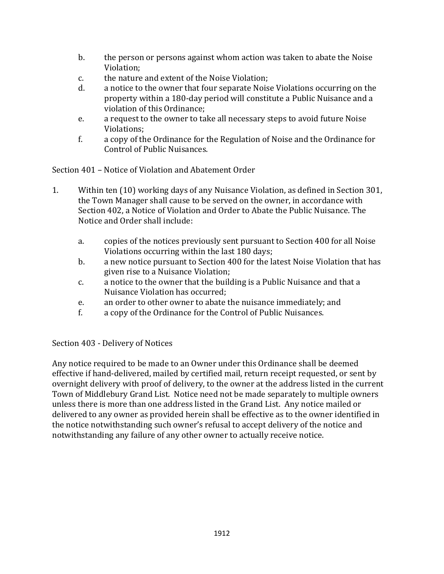- b. the person or persons against whom action was taken to abate the Noise Violation;
- c. the nature and extent of the Noise Violation;
- d. a notice to the owner that four separate Noise Violations occurring on the property within a 180-day period will constitute a Public Nuisance and a violation of this Ordinance;
- e. a request to the owner to take all necessary steps to avoid future Noise Violations;
- f. a copy of the Ordinance for the Regulation of Noise and the Ordinance for Control of Public Nuisances.

Section 401 – Notice of Violation and Abatement Order

- 1. Within ten (10) working days of any Nuisance Violation, as defined in Section 301, the Town Manager shall cause to be served on the owner, in accordance with Section 402, a Notice of Violation and Order to Abate the Public Nuisance. The Notice and Order shall include:
	- a. copies of the notices previously sent pursuant to Section 400 for all Noise Violations occurring within the last 180 days;
	- b. a new notice pursuant to Section 400 for the latest Noise Violation that has given rise to a Nuisance Violation;
	- c. a notice to the owner that the building is a Public Nuisance and that a Nuisance Violation has occurred;
	- e. an order to other owner to abate the nuisance immediately; and
	- f. a copy of the Ordinance for the Control of Public Nuisances.

### Section 403 - Delivery of Notices

Any notice required to be made to an Owner under this Ordinance shall be deemed effective if hand-delivered, mailed by certified mail, return receipt requested, or sent by overnight delivery with proof of delivery, to the owner at the address listed in the current Town of Middlebury Grand List. Notice need not be made separately to multiple owners unless there is more than one address listed in the Grand List. Any notice mailed or delivered to any owner as provided herein shall be effective as to the owner identified in the notice notwithstanding such owner's refusal to accept delivery of the notice and notwithstanding any failure of any other owner to actually receive notice.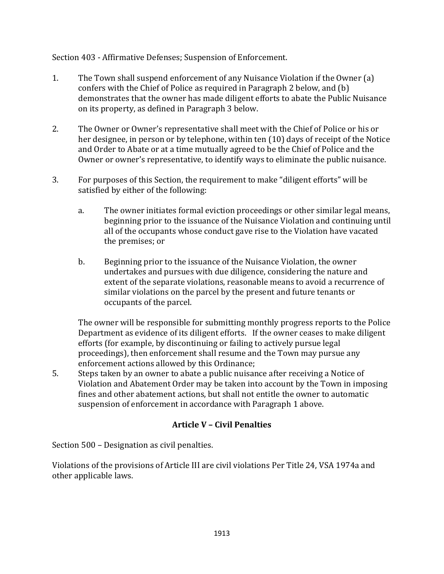Section 403 - Affirmative Defenses; Suspension of Enforcement.

- 1. The Town shall suspend enforcement of any Nuisance Violation if the Owner (a) confers with the Chief of Police as required in Paragraph 2 below, and (b) demonstrates that the owner has made diligent efforts to abate the Public Nuisance on its property, as defined in Paragraph 3 below.
- 2. The Owner or Owner's representative shall meet with the Chief of Police or his or her designee, in person or by telephone, within ten (10) days of receipt of the Notice and Order to Abate or at a time mutually agreed to be the Chief of Police and the Owner or owner's representative, to identify ways to eliminate the public nuisance.
- 3. For purposes of this Section, the requirement to make "diligent efforts" will be satisfied by either of the following:
	- a. The owner initiates formal eviction proceedings or other similar legal means, beginning prior to the issuance of the Nuisance Violation and continuing until all of the occupants whose conduct gave rise to the Violation have vacated the premises; or
	- b. Beginning prior to the issuance of the Nuisance Violation, the owner undertakes and pursues with due diligence, considering the nature and extent of the separate violations, reasonable means to avoid a recurrence of similar violations on the parcel by the present and future tenants or occupants of the parcel.

The owner will be responsible for submitting monthly progress reports to the Police Department as evidence of its diligent efforts. If the owner ceases to make diligent efforts (for example, by discontinuing or failing to actively pursue legal proceedings), then enforcement shall resume and the Town may pursue any enforcement actions allowed by this Ordinance;

5. Steps taken by an owner to abate a public nuisance after receiving a Notice of Violation and Abatement Order may be taken into account by the Town in imposing fines and other abatement actions, but shall not entitle the owner to automatic suspension of enforcement in accordance with Paragraph 1 above.

# **Article V – Civil Penalties**

Section 500 – Designation as civil penalties.

Violations of the provisions of Article III are civil violations Per Title 24, VSA 1974a and other applicable laws.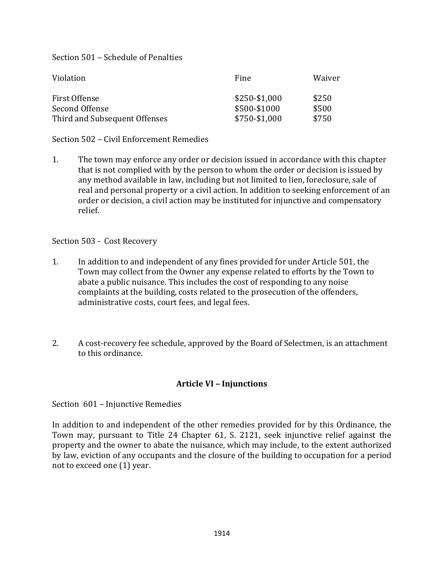Section 501 – Schedule of Penalties

| Violation                     | Fine          | Waiver |
|-------------------------------|---------------|--------|
| First Offense                 | \$250-\$1,000 | \$250  |
| Second Offense                | \$500-\$1000  | \$500  |
| Third and Subsequent Offenses | \$750-\$1,000 | \$750  |

Section 502 – Civil Enforcement Remedies

1. The town may enforce any order or decision issued in accordance with this chapter that is not complied with by the person to whom the order or decision is issued by any method available in law, including but not limited to lien, foreclosure, sale of real and personal property or a civil action. In addition to seeking enforcement of an order or decision, a civil action may be instituted for injunctive and compensatory relief.

Section 503 - Cost Recovery

- 1. In addition to and independent of any fines provided for under Article 501, the Town may collect from the Owner any expense related to efforts by the Town to abate a public nuisance. This includes the cost of responding to any noise complaints at the building, costs related to the prosecution of the offenders, administrative costs, court fees, and legal fees.
- 2. A cost-recovery fee schedule, approved by the Board of Selectmen, is an attachment to this ordinance.

## **Article VI – Injunctions**

Section 601 – Injunctive Remedies

In addition to and independent of the other remedies provided for by this Ordinance, the Town may, pursuant to Title 24 Chapter 61, S. 2121, seek injunctive relief against the property and the owner to abate the nuisance, which may include, to the extent authorized by law, eviction of any occupants and the closure of the building to occupation for a period not to exceed one (1) year.